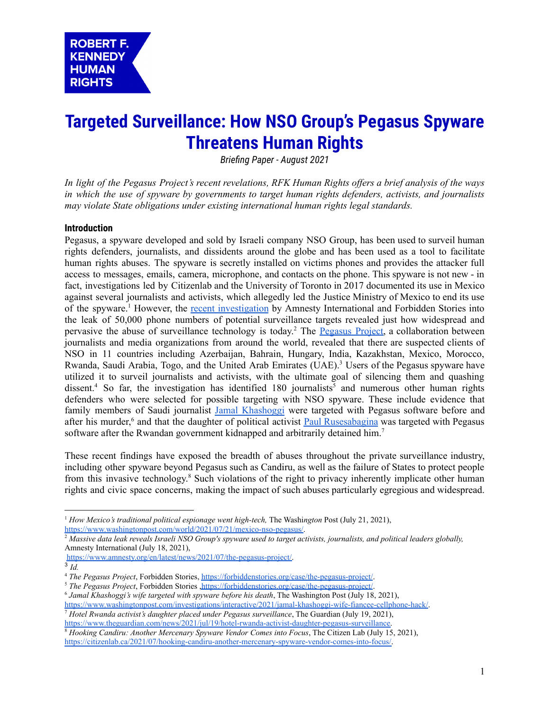# **Targeted Surveillance: How NSO Group's Pegasus Spyware Threatens Human Rights**

*Briefing Paper - August 2021*

In light of the Pegasus Project's recent revelations, RFK Human Rights offers a brief analysis of the ways *in which the use of spyware by governments to target human rights defenders, activists, and journalists may violate State obligations under existing international human rights legal standards.*

## **Introduction**

Pegasus, a spyware developed and sold by Israeli company NSO Group, has been used to surveil human rights defenders, journalists, and dissidents around the globe and has been used as a tool to facilitate human rights abuses. The spyware is secretly installed on victims phones and provides the attacker full access to messages, emails, camera, microphone, and contacts on the phone. This spyware is not new - in fact, investigations led by Citizenlab and the University of Toronto in 2017 documented its use in Mexico against several journalists and activists, which allegedly led the Justice Ministry of Mexico to end its use of the spyware.<sup>1</sup> However, the recent [investigation](https://www.amnesty.org/en/latest/news/2021/07/the-pegasus-project/) by Amnesty International and Forbidden Stories into the leak of 50,000 phone numbers of potential surveillance targets revealed just how widespread and pervasive the abuse of surveillance technology is today.<sup>2</sup> The [Pegasus](https://forbiddenstories.org/case/the-pegasus-project/) Project, a collaboration between journalists and media organizations from around the world, revealed that there are suspected clients of NSO in 11 countries including Azerbaijan, Bahrain, Hungary, India, Kazakhstan, Mexico, Morocco, Rwanda, Saudi Arabia, Togo, and the United Arab Emirates (UAE).<sup>3</sup> Users of the Pegasus spyware have utilized it to surveil journalists and activists, with the ultimate goal of silencing them and quashing dissent.<sup>4</sup> So far, the investigation has identified 180 journalists<sup>5</sup> and numerous other human rights defenders who were selected for possible targeting with NSO spyware. These include evidence that family members of Saudi journalist Jamal [Khashoggi](https://www.washingtonpost.com/investigations/interactive/2021/jamal-khashoggi-wife-fiancee-cellphone-hack/) were targeted with Pegasus software before and after his murder,<sup>6</sup> and that the daughter of political activist **Paul [Rusesabagina](https://www.theguardian.com/news/2021/jul/19/hotel-rwanda-activist-daughter-pegasus-surveillance)** was targeted with Pegasus software after the Rwandan government kidnapped and arbitrarily detained him.<sup>7</sup>

These recent findings have exposed the breadth of abuses throughout the private surveillance industry, including other spyware beyond Pegasus such as Candiru, as well as the failure of States to protect people from this invasive technology.<sup>8</sup> Such violations of the right to privacy inherently implicate other human rights and civic space concerns, making the impact of such abuses particularly egregious and widespread.

<sup>1</sup> *How Mexico's traditional political espionage went high-tech,* The Washi*ngton* Post (July 21, 2021), [https://www.washingtonpost.com/world/2021/07/21/mexico-nso-pegasus/.](https://www.washingtonpost.com/world/2021/07/21/mexico-nso-pegasus/)

<sup>2</sup> *Massive data leak reveals Israeli NSO Group's spyware used to target activists, journalists, and political leaders globally,* Amnesty International (July 18, 2021),

[https://www.amnesty.org/en/latest/news/2021/07/the-pegasus-project/.](https://www.amnesty.org/en/latest/news/2021/07/the-pegasus-project/)

<sup>3</sup> *Id.*

<sup>4</sup> *The Pegasus Project*, Forbidden Stories, <https://forbiddenstories.org/case/the-pegasus-project/>.

<sup>&</sup>lt;sup>5</sup> The Pegasus Project, Forbidden Stories [,https://forbiddenstories.org/case/the-pegasus-project/](https://forbiddenstories.org/case/the-pegasus-project/).

<sup>6</sup> *Jamal Khashoggi's wife targeted with spyware before his death*, The Washington Post (July 18, 2021),

[https://www.washingtonpost.com/investigations/interactive/2021/jamal-khashoggi-wife-fiancee-cellphone-hack/.](https://www.washingtonpost.com/investigations/interactive/2021/jamal-khashoggi-wife-fiancee-cellphone-hack/)

<sup>7</sup> *Hotel Rwanda activist's daughter placed under Pegasus surveillance*, The Guardian (July 19, 2021), [https://www.theguardian.com/news/2021/jul/19/hotel-rwanda-activist-daughter-pegasus-surveillance.](https://www.theguardian.com/news/2021/jul/19/hotel-rwanda-activist-daughter-pegasus-surveillance)

<sup>8</sup> *Hooking Candiru: Another Mercenary Spyware Vendor Comes into Focus*, The Citizen Lab (July 15, 2021), [https://citizenlab.ca/2021/07/hooking-candiru-another-mercenary-spyware-vendor-comes-into-focus/.](https://citizenlab.ca/2021/07/hooking-candiru-another-mercenary-spyware-vendor-comes-into-focus/)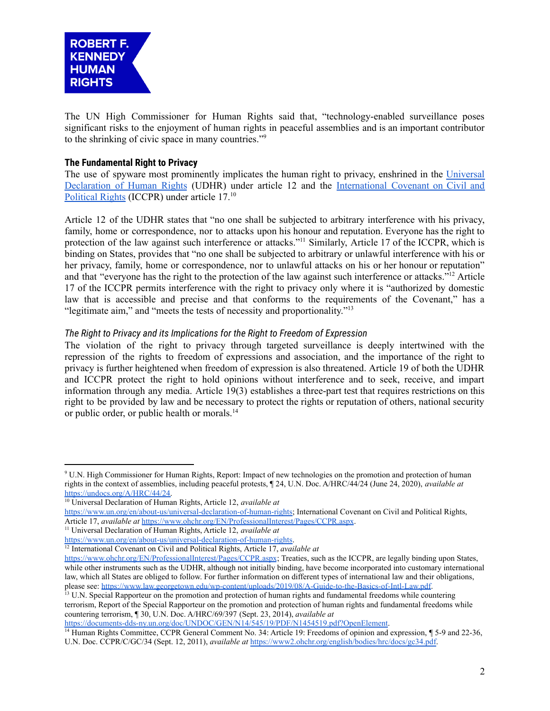

The UN High Commissioner for Human Rights said that, "technology-enabled surveillance poses significant risks to the enjoyment of human rights in peaceful assemblies and is an important contributor to the shrinking of civic space in many countries." 9

## **The Fundamental Right to Privacy**

The use of spyware most prominently implicates the human right to privacy, enshrined in the [Universal](https://www.un.org/en/about-us/universal-declaration-of-human-rights) [Declaration](https://www.un.org/en/about-us/universal-declaration-of-human-rights) of Human Rights (UDHR) under article 12 and the [International](https://www.ohchr.org/EN/ProfessionalInterest/Pages/CCPR.aspx) Covenant on Civil and [Political](https://www.ohchr.org/EN/ProfessionalInterest/Pages/CCPR.aspx) Rights (ICCPR) under article 17.<sup>10</sup>

Article 12 of the UDHR states that "no one shall be subjected to arbitrary interference with his privacy, family, home or correspondence, nor to attacks upon his honour and reputation. Everyone has the right to protection of the law against such interference or attacks."<sup>11</sup> Similarly, Article 17 of the ICCPR, which is binding on States, provides that "no one shall be subjected to arbitrary or unlawful interference with his or her privacy, family, home or correspondence, nor to unlawful attacks on his or her honour or reputation" and that "everyone has the right to the protection of the law against such interference or attacks."<sup>12</sup> Article 17 of the ICCPR permits interference with the right to privacy only where it is "authorized by domestic law that is accessible and precise and that conforms to the requirements of the Covenant," has a "legitimate aim," and "meets the tests of necessity and proportionality." 13

## *The Right to Privacy and its Implications for the Right to Freedom of Expression*

The violation of the right to privacy through targeted surveillance is deeply intertwined with the repression of the rights to freedom of expressions and association, and the importance of the right to privacy is further heightened when freedom of expression is also threatened. Article 19 of both the UDHR and ICCPR protect the right to hold opinions without interference and to seek, receive, and impart information through any media. Article 19(3) establishes a three-part test that requires restrictions on this right to be provided by law and be necessary to protect the rights or reputation of others, national security or public order, or public health or morals.<sup>14</sup>

<sup>13</sup> U.N. Special Rapporteur on the promotion and protection of human rights and fundamental freedoms while countering terrorism, Report of the Special Rapporteur on the promotion and protection of human rights and fundamental freedoms while countering terrorism, ¶ 30, U.N. Doc. A/HRC/69/397 (Sept. 23, 2014), *available at*

[https://documents-dds-ny.un.org/doc/UNDOC/GEN/N14/545/19/PDF/N1454519.pdf?OpenElement.](https://documents-dds-ny.un.org/doc/UNDOC/GEN/N14/545/19/PDF/N1454519.pdf?OpenElement)

<sup>14</sup> Human Rights Committee, CCPR General Comment No. 34: Article 19: Freedoms of opinion and expression, ¶ 5-9 and 22-36, U.N. Doc. CCPR/C/GC/34 (Sept. 12, 2011), *available at* [https://www2.ohchr.org/english/bodies/hrc/docs/gc34.pdf.](https://www2.ohchr.org/english/bodies/hrc/docs/gc34.pdf)

<sup>9</sup> U.N. High Commissioner for Human Rights, Report: Impact of new technologies on the promotion and protection of human rights in the context of assemblies, including peaceful protests, ¶ 24, U.N. Doc. A/HRC/44/24 (June 24, 2020), *available at* [https://undocs.org/A/HRC/44/24.](https://undocs.org/A/HRC/44/24)

<sup>10</sup> Universal Declaration of Human Rights, Article 12, *available at* [https://www.un.org/en/about-us/universal-declaration-of-human-rights;](https://www.un.org/en/about-us/universal-declaration-of-human-rights) International Covenant on Civil and Political Rights, Article 17, *available at* <https://www.ohchr.org/EN/ProfessionalInterest/Pages/CCPR.aspx>.

<sup>11</sup> Universal Declaration of Human Rights, Article 12, *available at*

[https://www.un.org/en/about-us/universal-declaration-of-human-rights.](https://www.un.org/en/about-us/universal-declaration-of-human-rights)

<sup>&</sup>lt;sup>12</sup> International Covenant on Civil and Political Rights, Article 17, *available at* 

<https://www.ohchr.org/EN/ProfessionalInterest/Pages/CCPR.aspx>; Treaties, such as the ICCPR, are legally binding upon States, while other instruments such as the UDHR, although not initially binding, have become incorporated into customary international law, which all States are obliged to follow. For further information on different types of international law and their obligations, please see: [https://www.law.georgetown.edu/wp-content/uploads/2019/08/A-Guide-to-the-Basics-of-Intl-Law.pdf.](https://www.law.georgetown.edu/wp-content/uploads/2019/08/A-Guide-to-the-Basics-of-Intl-Law.pdf)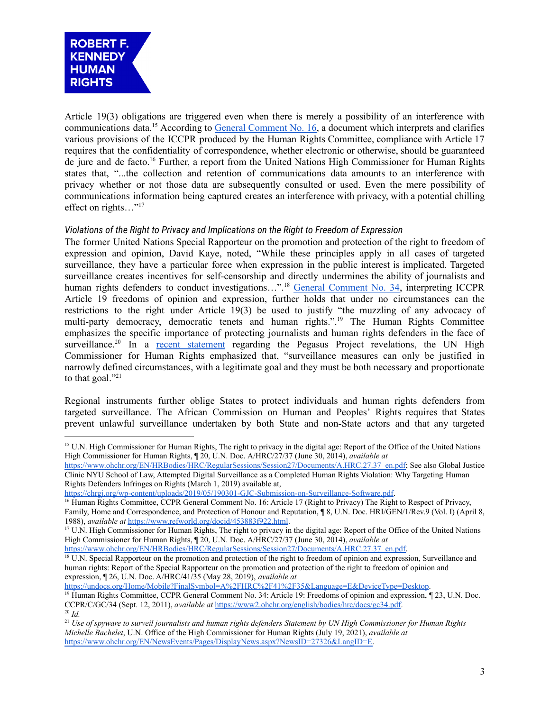

Article 19(3) obligations are triggered even when there is merely a possibility of an interference with communications data.<sup>15</sup> According to General [Comment](https://www.refworld.org/docid/453883f922.html) No. 16, a document which interprets and clarifies various provisions of the ICCPR produced by the Human Rights Committee, compliance with Article 17 requires that the confidentiality of correspondence, whether electronic or otherwise, should be guaranteed de jure and de facto. <sup>16</sup> Further, a report from the United Nations High Commissioner for Human Rights states that, "...the collection and retention of communications data amounts to an interference with privacy whether or not those data are subsequently consulted or used. Even the mere possibility of communications information being captured creates an interference with privacy, with a potential chilling effect on rights..."<sup>17</sup>

## *Violations of the Right to Privacy and Implications on the Right to Freedom of Expression*

The former United Nations Special Rapporteur on the promotion and protection of the right to freedom of expression and opinion, David Kaye, noted, "While these principles apply in all cases of targeted surveillance, they have a particular force when expression in the public interest is implicated. Targeted surveillance creates incentives for self-censorship and directly undermines the ability of journalists and human rights defenders to conduct investigations...".<sup>18</sup> General [Comment](https://www2.ohchr.org/english/bodies/hrc/docs/gc34.pdf) No. 34, interpreting ICCPR Article 19 freedoms of opinion and expression, further holds that under no circumstances can the restrictions to the right under Article 19(3) be used to justify "the muzzling of any advocacy of multi-party democracy, democratic tenets and human rights.". <sup>19</sup> The Human Rights Committee emphasizes the specific importance of protecting journalists and human rights defenders in the face of surveillance.<sup>20</sup> In a recent [statement](https://www.ohchr.org/EN/NewsEvents/Pages/DisplayNews.aspx?NewsID=27326&LangID=E) regarding the Pegasus Project revelations, the UN High Commissioner for Human Rights emphasized that, "surveillance measures can only be justified in narrowly defined circumstances, with a legitimate goal and they must be both necessary and proportionate to that goal."<sup>21</sup>

Regional instruments further oblige States to protect individuals and human rights defenders from targeted surveillance. The African Commission on Human and Peoples' Rights requires that States prevent unlawful surveillance undertaken by both State and non-State actors and that any targeted

<https://chrgj.org/wp-content/uploads/2019/05/190301-GJC-Submission-on-Surveillance-Software.pdf>.

[https://www.ohchr.org/EN/HRBodies/HRC/RegularSessions/Session27/Documents/A.HRC.27.37\\_en.pdf.](https://www.ohchr.org/EN/HRBodies/HRC/RegularSessions/Session27/Documents/A.HRC.27.37_en.pdf)

<sup>18</sup> U.N. Special Rapporteur on the promotion and protection of the right to freedom of opinion and expression, Surveillance and human rights: Report of the Special Rapporteur on the promotion and protection of the right to freedom of opinion and expression, ¶ 26, U.N. Doc. A/HRC/41/35 (May 28, 2019), *available at*

[https://undocs.org/Home/Mobile?FinalSymbol=A%2FHRC%2F41%2F35&Language=E&DeviceType=Desktop.](https://undocs.org/Home/Mobile?FinalSymbol=A%2FHRC%2F41%2F35&Language=E&DeviceType=Desktop)

<sup>&</sup>lt;sup>15</sup> U.N. High Commissioner for Human Rights, The right to privacy in the digital age: Report of the Office of the United Nations High Commissioner for Human Rights, ¶ 20, U.N. Doc. A/HRC/27/37 (June 30, 2014), *available at*

[https://www.ohchr.org/EN/HRBodies/HRC/RegularSessions/Session27/Documents/A.HRC.27.37\\_en.pdf;](https://www.ohchr.org/EN/HRBodies/HRC/RegularSessions/Session27/Documents/A.HRC.27.37_en.pdf) See also Global Justice Clinic NYU School of Law, Attempted Digital Surveillance as a Completed Human Rights Violation: Why Targeting Human Rights Defenders Infringes on Rights (March 1, 2019) available at,

<sup>&</sup>lt;sup>16</sup> Human Rights Committee, CCPR General Comment No. 16: Article 17 (Right to Privacy) The Right to Respect of Privacy, Family, Home and Correspondence, and Protection of Honour and Reputation, ¶ 8, U.N. Doc. HRI/GEN/1/Rev.9 (Vol. I) (April 8, 1988), *available at* [https://www.refworld.org/docid/453883f922.html.](https://www.refworld.org/docid/453883f922.html)

<sup>17</sup> U.N. High Commissioner for Human Rights, The right to privacy in the digital age: Report of the Office of the United Nations High Commissioner for Human Rights, ¶ 20, U.N. Doc. A/HRC/27/37 (June 30, 2014), *available at*

<sup>20</sup> *Id.* <sup>19</sup> Human Rights Committee, CCPR General Comment No. 34: Article 19: Freedoms of opinion and expression, ¶ 23, U.N. Doc. CCPR/C/GC/34 (Sept. 12, 2011), *available at* <https://www2.ohchr.org/english/bodies/hrc/docs/gc34.pdf>.

<sup>21</sup> *Use of spyware to surveil journalists and human rights defenders Statement by UN High Commissioner for Human Rights Michelle Bachelet*, U.N. Office of the High Commissioner for Human Rights (July 19, 2021), *available at* [https://www.ohchr.org/EN/NewsEvents/Pages/DisplayNews.aspx?NewsID=27326&LangID=E.](https://www.ohchr.org/EN/NewsEvents/Pages/DisplayNews.aspx?NewsID=27326&LangID=E)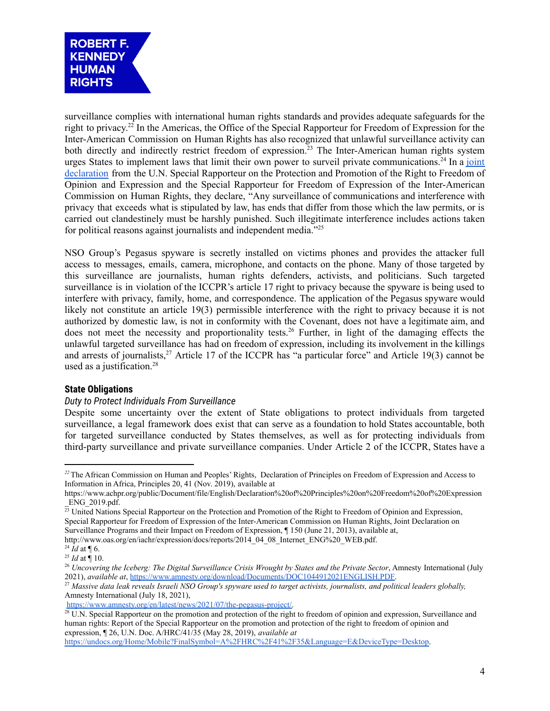

surveillance complies with international human rights standards and provides adequate safeguards for the right to privacy. 22 In the Americas, the Office of the Special Rapporteur for Freedom of Expression for the Inter-American Commission on Human Rights has also recognized that unlawful surveillance activity can both directly and indirectly restrict freedom of expression. <sup>23</sup> The Inter-American human rights system urges States to implement laws that limit their own power to surveil private communications.<sup>24</sup> In a [joint](http://www.oas.org/en/iachr/expression/docs/reports/2014_04_08_Internet_ENG%20_WEB.pdf) [declaration](http://www.oas.org/en/iachr/expression/docs/reports/2014_04_08_Internet_ENG%20_WEB.pdf) from the U.N. Special Rapporteur on the Protection and Promotion of the Right to Freedom of Opinion and Expression and the Special Rapporteur for Freedom of Expression of the Inter-American Commission on Human Rights, they declare, "Any surveillance of communications and interference with privacy that exceeds what is stipulated by law, has ends that differ from those which the law permits, or is carried out clandestinely must be harshly punished. Such illegitimate interference includes actions taken for political reasons against journalists and independent media."<sup>25</sup>

NSO Group's Pegasus spyware is secretly installed on victims phones and provides the attacker full access to messages, emails, camera, microphone, and contacts on the phone. Many of those targeted by this surveillance are journalists, human rights defenders, activists, and politicians. Such targeted surveillance is in violation of the ICCPR's article 17 right to privacy because the spyware is being used to interfere with privacy, family, home, and correspondence. The application of the Pegasus spyware would likely not constitute an article 19(3) permissible interference with the right to privacy because it is not authorized by domestic law, is not in conformity with the Covenant, does not have a legitimate aim, and does not meet the necessity and proportionality tests. <sup>26</sup> Further, in light of the damaging effects the unlawful targeted surveillance has had on freedom of expression, including its involvement in the killings and arrests of journalists,<sup>27</sup> Article 17 of the ICCPR has "a particular force" and Article 19(3) cannot be used as a justification. 28

### **State Obligations**

### *Duty to Protect Individuals From Surveillance*

Despite some uncertainty over the extent of State obligations to protect individuals from targeted surveillance, a legal framework does exist that can serve as a foundation to hold States accountable, both for targeted surveillance conducted by States themselves, as well as for protecting individuals from third-party surveillance and private surveillance companies. Under Article 2 of the ICCPR, States have a

[http://www.oas.org/en/iachr/expression/docs/reports/2014\\_04\\_08\\_Internet\\_ENG%20\\_WEB.pdf.](http://www.oas.org/en/iachr/expression/docs/reports/2014_04_08_Internet_ENG%20_WEB.pdf)

*<sup>22</sup>*The African Commission on Human and Peoples' Rights, Declaration of Principles on Freedom of Expression and Access to Information in Africa, Principles 20, 41 (Nov. 2019), available at

[https://www.achpr.org/public/Document/file/English/Declaration%20of%20Principles%20on%20Freedom%20of%20Expression](https://www.achpr.org/public/Document/file/English/Declaration%20of%20Principles%20on%20Freedom%20of%20Expression_ENG_2019.pdf) [\\_ENG\\_2019.pdf.](https://www.achpr.org/public/Document/file/English/Declaration%20of%20Principles%20on%20Freedom%20of%20Expression_ENG_2019.pdf)

 $23$  United Nations Special Rapporteur on the Protection and Promotion of the Right to Freedom of Opinion and Expression, Special Rapporteur for Freedom of Expression of the Inter-American Commission on Human Rights, Joint Declaration on Surveillance Programs and their Impact on Freedom of Expression, ¶ 150 (June 21, 2013), available at,

 $^{24}$  *Id* at ¶ 6.

 $^{25}$  *Id* at ¶ 10.

<sup>26</sup> *Uncovering the Iceberg: The Digital Surveillance Crisis Wrought by States and the Private Sector*, Amnesty International (July 2021), *available at*, [https://www.amnesty.org/download/Documents/DOC1044912021ENGLISH.PDF.](https://www.amnesty.org/download/Documents/DOC1044912021ENGLISH.PDF)

<sup>27</sup> *Massive data leak reveals Israeli NSO Group's spyware used to target activists, journalists, and political leaders globally,* Amnesty International (July 18, 2021),

[https://www.amnesty.org/en/latest/news/2021/07/the-pegasus-project/.](https://www.amnesty.org/en/latest/news/2021/07/the-pegasus-project/)

<sup>&</sup>lt;sup>28</sup> U.N. Special Rapporteur on the promotion and protection of the right to freedom of opinion and expression, Surveillance and human rights: Report of the Special Rapporteur on the promotion and protection of the right to freedom of opinion and expression, ¶ 26, U.N. Doc. A/HRC/41/35 (May 28, 2019), *available at* [https://undocs.org/Home/Mobile?FinalSymbol=A%2FHRC%2F41%2F35&Language=E&DeviceType=Desktop.](https://undocs.org/Home/Mobile?FinalSymbol=A%2FHRC%2F41%2F35&Language=E&DeviceType=Desktop)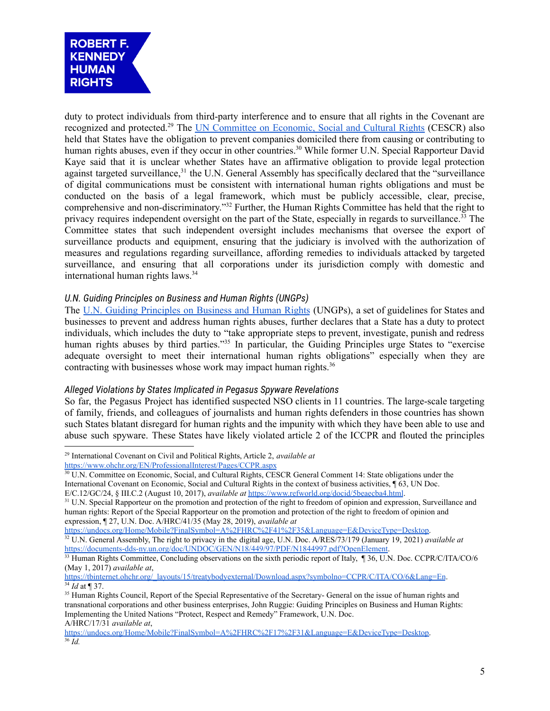

duty to protect individuals from third-party interference and to ensure that all rights in the Covenant are recognized and protected.<sup>29</sup> The UN [Committee](https://www.refworld.org/docid/5beaecba4.html) on Economic, Social and Cultural Rights (CESCR) also held that States have the obligation to prevent companies domiciled there from causing or contributing to human rights abuses, even if they occur in other countries.<sup>30</sup> While former U.N. Special Rapporteur David Kaye said that it is unclear whether States have an affirmative obligation to provide legal protection against targeted surveillance,<sup>31</sup> the U.N. General Assembly has specifically declared that the "surveillance of digital communications must be consistent with international human rights obligations and must be conducted on the basis of a legal framework, which must be publicly accessible, clear, precise, comprehensive and non-discriminatory." <sup>32</sup> Further, the Human Rights Committee has held that the right to privacy requires independent oversight on the part of the State, especially in regards to surveillance.<sup>33</sup> The Committee states that such independent oversight includes mechanisms that oversee the export of surveillance products and equipment, ensuring that the judiciary is involved with the authorization of measures and regulations regarding surveillance, affording remedies to individuals attacked by targeted surveillance, and ensuring that all corporations under its jurisdiction comply with domestic and international human rights laws. 34

### *U.N. Guiding Principles on Business and Human Rights (UNGPs)*

The U.N. Guiding [Principles](https://www.ohchr.org/documents/publications/guidingprinciplesbusinesshr_en.pdf) on Business and Human Rights (UNGPs), a set of guidelines for States and businesses to prevent and address human rights abuses, further declares that a State has a duty to protect individuals, which includes the duty to "take appropriate steps to prevent, investigate, punish and redress human rights abuses by third parties."<sup>35</sup> In particular, the Guiding Principles urge States to "exercise adequate oversight to meet their international human rights obligations" especially when they are contracting with businesses whose work may impact human rights. 36

### *Alleged Violations by States Implicated in Pegasus Spyware Revelations*

So far, the Pegasus Project has identified suspected NSO clients in 11 countries. The large-scale targeting of family, friends, and colleagues of journalists and human rights defenders in those countries has shown such States blatant disregard for human rights and the impunity with which they have been able to use and abuse such spyware. These States have likely violated article 2 of the ICCPR and flouted the principles

<sup>29</sup> International Covenant on Civil and Political Rights, Article 2, *available at* <https://www.ohchr.org/EN/ProfessionalInterest/Pages/CCPR.aspx>

<sup>&</sup>lt;sup>30</sup> U.N. Committee on Economic, Social, and Cultural Rights, CESCR General Comment 14: State obligations under the International Covenant on Economic, Social and Cultural Rights in the context of business activities, ¶ 63, UN Doc. E/C.12/GC/24, § III.C.2 (August 10, 2017), *available at* <https://www.refworld.org/docid/5beaecba4.html>.

<sup>&</sup>lt;sup>31</sup> U.N. Special Rapporteur on the promotion and protection of the right to freedom of opinion and expression, Surveillance and human rights: Report of the Special Rapporteur on the promotion and protection of the right to freedom of opinion and expression, ¶ 27, U.N. Doc. A/HRC/41/35 (May 28, 2019), *available at*

<sup>&</sup>lt;sup>32</sup> U.N. General Assembly, The right to privacy in the digital age, U.N. Doc. A/RES/73/179 (January 19, 2021) *available at* [https://documents-dds-ny.un.org/doc/UNDOC/GEN/N18/449/97/PDF/N1844997.pdf?OpenElement.](https://documents-dds-ny.un.org/doc/UNDOC/GEN/N18/449/97/PDF/N1844997.pdf?OpenElement) [https://undocs.org/Home/Mobile?FinalSymbol=A%2FHRC%2F41%2F35&Language=E&DeviceType=Desktop.](https://undocs.org/Home/Mobile?FinalSymbol=A%2FHRC%2F41%2F35&Language=E&DeviceType=Desktop)

<sup>&</sup>lt;sup>33</sup> Human Rights Committee, Concluding observations on the sixth periodic report of Italy, ¶ 36, U.N. Doc. CCPR/C/ITA/CO/6 (May 1, 2017) *available at*,

<sup>34</sup> *Id* at ¶ 37. [https://tbinternet.ohchr.org/\\_layouts/15/treatybodyexternal/Download.aspx?symbolno=CCPR/C/ITA/CO/6&Lang=En](https://tbinternet.ohchr.org/_layouts/15/treatybodyexternal/Download.aspx?symbolno=CCPR/C/ITA/CO/6&Lang=En).

<sup>&</sup>lt;sup>35</sup> Human Rights Council. Report of the Special Representative of the Secretary- General on the issue of human rights and transnational corporations and other business enterprises, John Ruggie: Guiding Principles on Business and Human Rights: Implementing the United Nations "Protect, Respect and Remedy" Framework, U.N. Doc. A/HRC/17/31 *available at*,

<sup>36</sup> *Id.* [https://undocs.org/Home/Mobile?FinalSymbol=A%2FHRC%2F17%2F31&Language=E&DeviceType=Desktop.](https://undocs.org/Home/Mobile?FinalSymbol=A%2FHRC%2F17%2F31&Language=E&DeviceType=Desktop)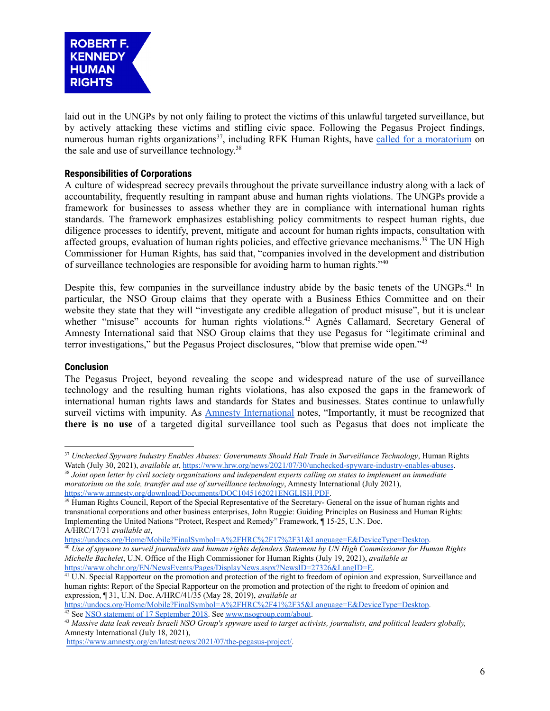

laid out in the UNGPs by not only failing to protect the victims of this unlawful targeted surveillance, but by actively attacking these victims and stifling civic space. Following the Pegasus Project findings, numerous human rights organizations<sup>37</sup>, including RFK Human Rights, have called for a [moratorium](https://www.amnesty.org/download/Documents/DOC1045162021ENGLISH.PDF) on the sale and use of surveillance technology.<sup>38</sup>

## **Responsibilities of Corporations**

A culture of widespread secrecy prevails throughout the private surveillance industry along with a lack of accountability, frequently resulting in rampant abuse and human rights violations. The UNGPs provide a framework for businesses to assess whether they are in compliance with international human rights standards. The framework emphasizes establishing policy commitments to respect human rights, due diligence processes to identify, prevent, mitigate and account for human rights impacts, consultation with affected groups, evaluation of human rights policies, and effective grievance mechanisms.<sup>39</sup> The UN High Commissioner for Human Rights, has said that, "companies involved in the development and distribution of surveillance technologies are responsible for avoiding harm to human rights."<sup>40</sup>

Despite this, few companies in the surveillance industry abide by the basic tenets of the UNGPs.<sup>41</sup> In particular, the NSO Group claims that they operate with a Business Ethics Committee and on their website they state that they will "investigate any credible allegation of product misuse", but it is unclear whether "misuse" accounts for human rights violations.<sup>42</sup> Agnès Callamard, Secretary General of Amnesty International said that NSO Group claims that they use Pegasus for "legitimate criminal and terror investigations," but the Pegasus Project disclosures, "blow that premise wide open." 43

#### **Conclusion**

The Pegasus Project, beyond revealing the scope and widespread nature of the use of surveillance technology and the resulting human rights violations, has also exposed the gaps in the framework of international human rights laws and standards for States and businesses. States continue to unlawfully surveil victims with impunity. As **Amnesty [International](https://www.amnesty.org/download/Documents/DOC1044912021ENGLISH.PDF)** notes, "Importantly, it must be recognized that **there is no use** of a targeted digital surveillance tool such as Pegasus that does not implicate the

[https://undocs.org/Home/Mobile?FinalSymbol=A%2FHRC%2F17%2F31&Language=E&DeviceType=Desktop.](https://undocs.org/Home/Mobile?FinalSymbol=A%2FHRC%2F17%2F31&Language=E&DeviceType=Desktop)

<sup>42</sup> See [NSO statement of 17 September 2018.](https://citizenlab.ca/wp-content/uploads/2018/09/NSO-Statement-17-September-2018.pdf) See [www.nsogroup.com/about](http://www.nsogroup.com/about). [https://undocs.org/Home/Mobile?FinalSymbol=A%2FHRC%2F41%2F35&Language=E&DeviceType=Desktop.](https://undocs.org/Home/Mobile?FinalSymbol=A%2FHRC%2F41%2F35&Language=E&DeviceType=Desktop)

<sup>37</sup> *Unchecked Spyware Industry Enables Abuses: Governments Should Halt Trade in Surveillance Technology*, Human Rights Watch (July 30, 2021), *available at*, <https://www.hrw.org/news/2021/07/30/unchecked-spyware-industry-enables-abuses>.

<sup>38</sup> *Joint open letter by civil society organizations and independent experts calling on states to implement an immediate moratorium on the sale, transfer and use of surveillance technology*, Amnesty International (July 2021), [https://www.amnesty.org/download/Documents/DOC1045162021ENGLISH.PDF.](https://www.amnesty.org/download/Documents/DOC1045162021ENGLISH.PDF)

<sup>&</sup>lt;sup>39</sup> Human Rights Council, Report of the Special Representative of the Secretary- General on the issue of human rights and transnational corporations and other business enterprises, John Ruggie: Guiding Principles on Business and Human Rights: Implementing the United Nations "Protect, Respect and Remedy" Framework, ¶ 15-25, U.N. Doc. A/HRC/17/31 *available at*,

<sup>40</sup> *Use of spyware to surveil journalists and human rights defenders Statement by UN High Commissioner for Human Rights Michelle Bachelet*, U.N. Office of the High Commissioner for Human Rights (July 19, 2021), *available at* [https://www.ohchr.org/EN/NewsEvents/Pages/DisplayNews.aspx?NewsID=27326&LangID=E.](https://www.ohchr.org/EN/NewsEvents/Pages/DisplayNews.aspx?NewsID=27326&LangID=E)

<sup>&</sup>lt;sup>41</sup> U.N. Special Rapporteur on the promotion and protection of the right to freedom of opinion and expression, Surveillance and human rights: Report of the Special Rapporteur on the promotion and protection of the right to freedom of opinion and expression, ¶ 31, U.N. Doc. A/HRC/41/35 (May 28, 2019), *available at*

<sup>43</sup> *Massive data leak reveals Israeli NSO Group's spyware used to target activists, journalists, and political leaders globally,* Amnesty International (July 18, 2021),

[https://www.amnesty.org/en/latest/news/2021/07/the-pegasus-project/.](https://www.amnesty.org/en/latest/news/2021/07/the-pegasus-project/)